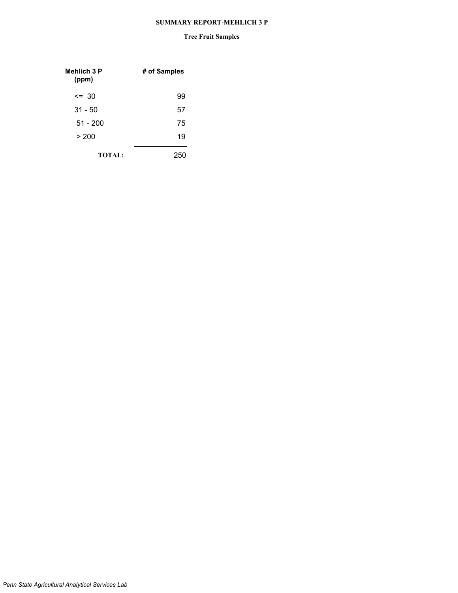#### **SUMMARY REPORT-MEHLICH 3 P**

#### **Tree Fruit Samples**

| <b>Mehlich 3 P</b><br>(ppm) | # of Samples |
|-----------------------------|--------------|
| $\leq$ 30                   | 99           |
| $31 - 50$                   | 57           |
| $51 - 200$                  | 75           |
| > 200                       | 19           |
| <b>TOTAL:</b>               |              |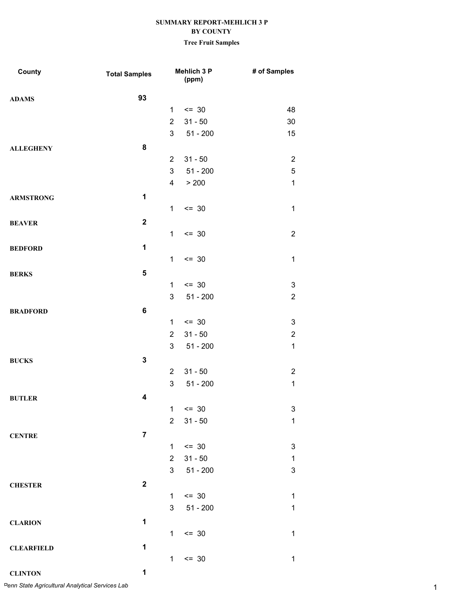# **Tree Fruit Samples**

| County            | <b>Total Samples</b> |                | Mehlich 3 P<br>(ppm) | # of Samples              |
|-------------------|----------------------|----------------|----------------------|---------------------------|
| <b>ADAMS</b>      | 93                   |                |                      |                           |
|                   |                      | $\mathbf{1}$   | $\leq$ 30            | 48                        |
|                   |                      | $\overline{2}$ | $31 - 50$            | 30                        |
|                   |                      | 3              | $51 - 200$           | 15                        |
| <b>ALLEGHENY</b>  | 8                    |                |                      |                           |
|                   |                      | $\overline{2}$ | $31 - 50$            | $\overline{2}$            |
|                   |                      | 3              | $51 - 200$           | 5                         |
|                   |                      | 4              | > 200                | $\mathbf 1$               |
| <b>ARMSTRONG</b>  | 1                    |                |                      |                           |
|                   |                      | $\mathbf 1$    | $= 30$               | $\mathbf 1$               |
| <b>BEAVER</b>     | $\mathbf{2}$         |                |                      |                           |
|                   |                      | $\mathbf{1}$   | $= 30$               | $\overline{2}$            |
| <b>BEDFORD</b>    | 1                    |                |                      |                           |
|                   |                      | $\mathbf{1}$   | $= 30$               | $\mathbf{1}$              |
| <b>BERKS</b>      | 5                    |                |                      |                           |
|                   |                      | $\mathbf{1}$   | $= 30$               | $\boldsymbol{3}$          |
|                   |                      | 3              | $51 - 200$           | $\overline{2}$            |
| <b>BRADFORD</b>   | 6                    |                |                      |                           |
|                   |                      | $\mathbf{1}$   | $\leq$ 30            | 3                         |
|                   |                      | $\overline{2}$ | $31 - 50$            | $\overline{c}$            |
|                   |                      | 3              | $51 - 200$           | $\mathbf{1}$              |
| <b>BUCKS</b>      | 3                    |                |                      |                           |
|                   |                      | $\overline{2}$ | $31 - 50$            | $\overline{2}$            |
|                   |                      | 3              | $51 - 200$           | $\mathbf 1$               |
| <b>BUTLER</b>     | 4                    |                |                      |                           |
|                   |                      | $\mathbf{1}$   | $= 30$               | 3                         |
|                   |                      | $\overline{2}$ | $31 - 50$            | $\mathbf 1$               |
| <b>CENTRE</b>     | $\overline{7}$       |                |                      |                           |
|                   |                      | $\mathbf{1}$   | $\leq$ 30            | $\ensuremath{\mathsf{3}}$ |
|                   |                      | $\overline{2}$ | $31 - 50$            | $\mathbf{1}$              |
|                   |                      | 3              | $51 - 200$           | 3                         |
| <b>CHESTER</b>    | $\mathbf 2$          |                |                      |                           |
|                   |                      | $\mathbf{1}$   | $= 30$               | $\mathbf{1}$              |
|                   |                      | 3              | $51 - 200$           | $\mathbf{1}$              |
| <b>CLARION</b>    | 1                    |                |                      |                           |
|                   |                      | $\mathbf{1}$   | $= 30$               | $\mathbf{1}$              |
| <b>CLEARFIELD</b> | 1                    |                |                      |                           |
|                   |                      | $\mathbf{1}$   | $= 30$               | $\mathbf{1}$              |
| <b>CLINTON</b>    | 1                    |                |                      |                           |

1 *Penn State Agricultural Analytical Services Lab*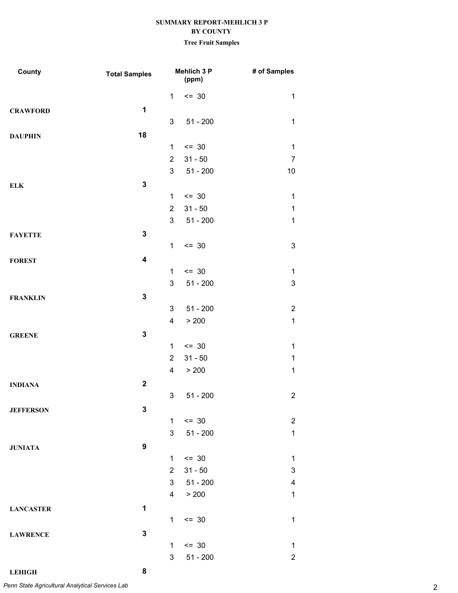# **Tree Fruit Samples**

| County           | <b>Total Samples</b>    |                         | Mehlich 3 P<br>(ppm) | # of Samples              |
|------------------|-------------------------|-------------------------|----------------------|---------------------------|
|                  |                         | $\mathbf{1}$            | $\leq$ 30            | $\mathbf 1$               |
| <b>CRAWFORD</b>  | $\mathbf 1$             |                         |                      |                           |
|                  |                         | 3                       | $51 - 200$           | $\mathbf 1$               |
| <b>DAUPHIN</b>   | 18                      |                         |                      |                           |
|                  |                         | $\mathbf{1}$            | $\leq$ 30            | $\mathbf 1$               |
|                  |                         | $\overline{2}$          | $31 - 50$            | $\overline{7}$            |
|                  |                         | 3                       | $51 - 200$           | 10                        |
| ${\bf ELK}$      | $\mathbf{3}$            |                         |                      |                           |
|                  |                         | $\mathbf{1}$            | $\leq$ 30            | $\mathbf 1$               |
|                  |                         | $\overline{2}$          | $31 - 50$            | $\mathbf 1$               |
|                  |                         | 3                       | $51 - 200$           | $\mathbf 1$               |
| <b>FAYETTE</b>   | $\mathbf 3$             |                         |                      |                           |
|                  |                         | $\mathbf{1}$            | $\leq$ 30            | $\ensuremath{\mathsf{3}}$ |
| <b>FOREST</b>    | $\overline{\mathbf{4}}$ |                         |                      |                           |
|                  |                         | 1                       | $\leq$ 30            | 1                         |
|                  |                         | 3                       | $51 - 200$           | $\ensuremath{\mathsf{3}}$ |
| <b>FRANKLIN</b>  | $\mathbf 3$             |                         |                      |                           |
|                  |                         | 3                       | $51 - 200$           | $\overline{2}$            |
|                  |                         | $\overline{4}$          | > 200                | $\mathbf{1}$              |
| <b>GREENE</b>    | $\mathbf 3$             |                         |                      |                           |
|                  |                         | $\mathbf{1}$            | $\leq$ 30            | $\mathbf 1$               |
|                  |                         | $\overline{2}$          | $31 - 50$            | $\mathbf 1$               |
|                  |                         | $\overline{\mathbf{4}}$ | > 200                | $\mathbf 1$               |
| <b>INDIANA</b>   | $\mathbf{2}$            |                         |                      |                           |
|                  |                         | 3                       | $51 - 200$           | $\overline{2}$            |
| <b>JEFFERSON</b> | $\mathbf 3$             |                         |                      |                           |
|                  |                         | $\mathbf{1}$            | $\leq$ 30            | $\overline{2}$            |
|                  |                         | 3                       | $51 - 200$           | $\mathbf{1}$              |
| <b>JUNIATA</b>   | $\boldsymbol{9}$        |                         |                      |                           |
|                  |                         | $\mathbf{1}$            | $\leq$ 30            | $\mathbf 1$               |
|                  |                         | $\overline{2}$          | $31 - 50$            | 3                         |
|                  |                         | 3 <sup>1</sup>          | 51 - 200             | 4                         |
|                  |                         |                         | 4 > 200              | $\mathbf 1$               |
| <b>LANCASTER</b> | 1                       |                         |                      |                           |
|                  |                         | $\mathbf{1}$            | $= 30$               | $\mathbf 1$               |
| <b>LAWRENCE</b>  | $\mathbf 3$             |                         |                      |                           |
|                  |                         | $\mathbf{1}$            | $\leq$ 30            | 1                         |
|                  |                         | 3                       | $51 - 200$           | $\overline{2}$            |

**LEHIGH 8**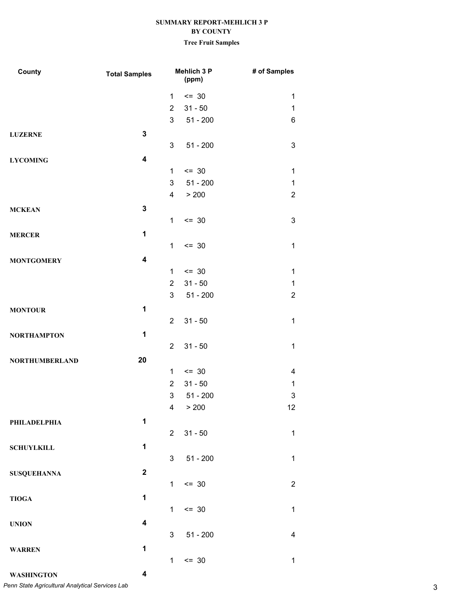# **Tree Fruit Samples**

| County                | <b>Total Samples</b>    |                | <b>Mehlich 3 P</b><br>(ppm) | # of Samples   |
|-----------------------|-------------------------|----------------|-----------------------------|----------------|
|                       |                         | $\mathbf{1}$   | $= 30$                      | 1              |
|                       |                         | $\overline{2}$ | $31 - 50$                   | 1              |
|                       |                         | 3              | 51 - 200                    | 6              |
| <b>LUZERNE</b>        | $\mathbf 3$             |                |                             |                |
|                       |                         | 3              | $51 - 200$                  | 3              |
| <b>LYCOMING</b>       | 4                       |                |                             |                |
|                       |                         | $\mathbf{1}$   | $\leq$ 30                   | 1              |
|                       |                         | 3              | $51 - 200$                  | 1              |
|                       |                         | $\overline{4}$ | > 200                       | $\overline{2}$ |
| <b>MCKEAN</b>         | $\mathbf 3$             |                |                             |                |
|                       |                         | $\mathbf{1}$   | $\leq$ 30                   | 3              |
| <b>MERCER</b>         | $\mathbf{1}$            |                |                             |                |
|                       |                         | $\mathbf{1}$   | $= 30$                      | $\mathbf 1$    |
| <b>MONTGOMERY</b>     | $\overline{\mathbf{4}}$ |                |                             |                |
|                       |                         | $\mathbf{1}$   | $\leq$ 30                   | 1              |
|                       |                         | $\overline{2}$ | $31 - 50$                   | $\mathbf 1$    |
|                       |                         | 3              | 51 - 200                    | $\overline{2}$ |
| <b>MONTOUR</b>        | 1                       |                |                             |                |
|                       |                         | $\overline{2}$ | $31 - 50$                   | $\mathbf 1$    |
| <b>NORTHAMPTON</b>    | 1                       |                |                             |                |
|                       |                         | $\overline{2}$ | $31 - 50$                   | $\mathbf 1$    |
| <b>NORTHUMBERLAND</b> | 20                      |                |                             |                |
|                       |                         | 1              | $\leq$ 30                   | 4              |
|                       |                         | $\overline{2}$ | $31 - 50$                   | 1              |
|                       |                         | 3              | $51 - 200$                  | 3              |
|                       |                         | $\overline{4}$ | > 200                       | 12             |
| PHILADELPHIA          | 1                       |                |                             |                |
|                       |                         | $2^{\circ}$    | $31 - 50$                   | $\mathbf{1}$   |
| <b>SCHUYLKILL</b>     | $\mathbf{1}$            |                |                             |                |
|                       |                         | 3 <sup>7</sup> | $51 - 200$                  | $\mathbf 1$    |
| <b>SUSQUEHANNA</b>    | $\mathbf 2$             |                |                             |                |
|                       |                         | $\mathbf{1}$   | $= 30$                      | $\overline{2}$ |
| <b>TIOGA</b>          | 1                       |                |                             |                |
|                       |                         | $\mathbf{1}$   | $\leq$ 30                   | $\mathbf{1}$   |
| <b>UNION</b>          | 4                       |                |                             |                |
|                       |                         | 3              | $51 - 200$                  | $\overline{4}$ |
| <b>WARREN</b>         | 1                       |                |                             |                |
|                       |                         | $\mathbf 1$    | $\leq$ 30                   | $\mathbf{1}$   |
|                       |                         |                |                             |                |

**WASHINGTON 4** 3 *Penn State Agricultural Analytical Services Lab*